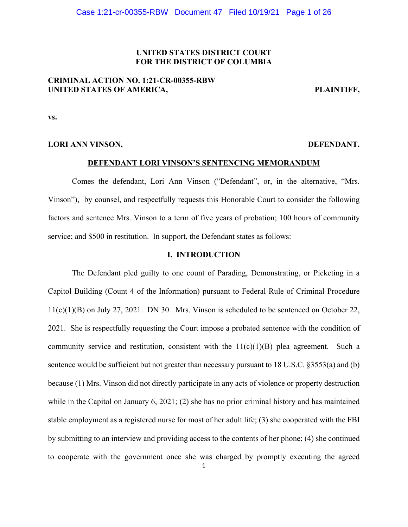## **UNITED STATES DISTRICT COURT FOR THE DISTRICT OF COLUMBIA**

# **CRIMINAL ACTION NO. 1:21-CR-00355-RBW**  UNITED STATES OF AMERICA, PLAINTIFF,

**vs.** 

## **LORI ANN VINSON, DEFENDANT.**

#### **DEFENDANT LORI VINSON'S SENTENCING MEMORANDUM**

 Comes the defendant, Lori Ann Vinson ("Defendant", or, in the alternative, "Mrs. Vinson"), by counsel, and respectfully requests this Honorable Court to consider the following factors and sentence Mrs. Vinson to a term of five years of probation; 100 hours of community service; and \$500 in restitution. In support, the Defendant states as follows:

## **I. INTRODUCTION**

 The Defendant pled guilty to one count of Parading, Demonstrating, or Picketing in a Capitol Building (Count 4 of the Information) pursuant to Federal Rule of Criminal Procedure  $11(c)(1)(B)$  on July 27, 2021. DN 30. Mrs. Vinson is scheduled to be sentenced on October 22, 2021. She is respectfully requesting the Court impose a probated sentence with the condition of community service and restitution, consistent with the  $11(c)(1)(B)$  plea agreement. Such a sentence would be sufficient but not greater than necessary pursuant to 18 U.S.C. §3553(a) and (b) because (1) Mrs. Vinson did not directly participate in any acts of violence or property destruction while in the Capitol on January 6, 2021; (2) she has no prior criminal history and has maintained stable employment as a registered nurse for most of her adult life; (3) she cooperated with the FBI by submitting to an interview and providing access to the contents of her phone; (4) she continued to cooperate with the government once she was charged by promptly executing the agreed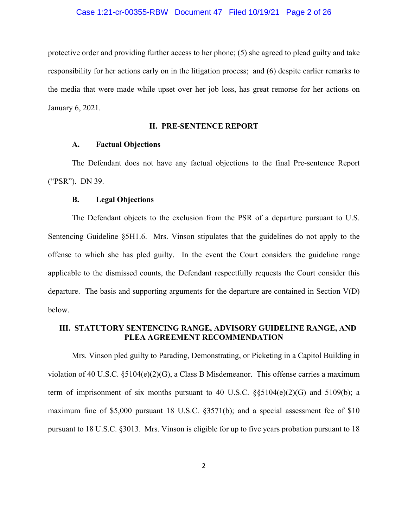protective order and providing further access to her phone; (5) she agreed to plead guilty and take responsibility for her actions early on in the litigation process; and (6) despite earlier remarks to the media that were made while upset over her job loss, has great remorse for her actions on January 6, 2021.

## **II. PRE-SENTENCE REPORT**

## **A. Factual Objections**

The Defendant does not have any factual objections to the final Pre-sentence Report ("PSR"). DN 39.

## **B. Legal Objections**

The Defendant objects to the exclusion from the PSR of a departure pursuant to U.S. Sentencing Guideline §5H1.6. Mrs. Vinson stipulates that the guidelines do not apply to the offense to which she has pled guilty. In the event the Court considers the guideline range applicable to the dismissed counts, the Defendant respectfully requests the Court consider this departure. The basis and supporting arguments for the departure are contained in Section V(D) below.

## **III. STATUTORY SENTENCING RANGE, ADVISORY GUIDELINE RANGE, AND PLEA AGREEMENT RECOMMENDATION**

 Mrs. Vinson pled guilty to Parading, Demonstrating, or Picketing in a Capitol Building in violation of 40 U.S.C.  $\S5104(e)(2)(G)$ , a Class B Misdemeanor. This offense carries a maximum term of imprisonment of six months pursuant to 40 U.S.C.  $\S$ \$5104(e)(2)(G) and 5109(b); a maximum fine of \$5,000 pursuant 18 U.S.C. §3571(b); and a special assessment fee of \$10 pursuant to 18 U.S.C. §3013. Mrs. Vinson is eligible for up to five years probation pursuant to 18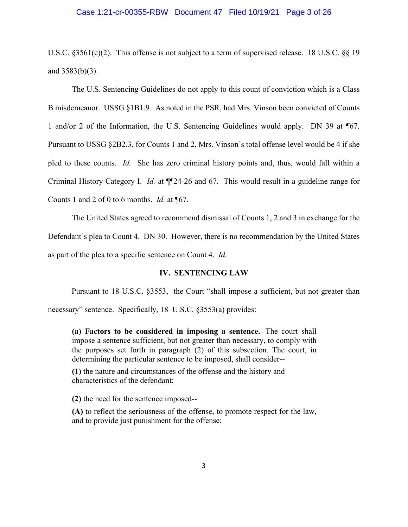#### Case 1:21-cr-00355-RBW Document 47 Filed 10/19/21 Page 3 of 26

U.S.C. §3561(c)(2). This offense is not subject to a term of supervised release. 18 U.S.C. §§ 19 and 3583(b)(3).

 The U.S. Sentencing Guidelines do not apply to this count of conviction which is a Class B misdemeanor. USSG §1B1.9. As noted in the PSR, had Mrs. Vinson been convicted of Counts 1 and/or 2 of the Information, the U.S. Sentencing Guidelines would apply. DN 39 at ¶67. Pursuant to USSG §2B2.3, for Counts 1 and 2, Mrs. Vinson's total offense level would be 4 if she pled to these counts. *Id.* She has zero criminal history points and, thus, would fall within a Criminal History Category I. *Id.* at ¶¶24-26 and 67.This would result in a guideline range for Counts 1 and 2 of 0 to 6 months. *Id.* at ¶67.

 The United States agreed to recommend dismissal of Counts 1, 2 and 3 in exchange for the Defendant's plea to Count 4. DN 30. However, there is no recommendation by the United States as part of the plea to a specific sentence on Count 4. *Id.*

## **IV. SENTENCING LAW**

Pursuant to 18 U.S.C. §3553, the Court "shall impose a sufficient, but not greater than necessary" sentence. Specifically, 18 U.S.C. §3553(a) provides:

**(a) Factors to be considered in imposing a sentence.**--The court shall impose a sentence sufficient, but not greater than necessary, to comply with the purposes set forth in paragraph (2) of this subsection. The court, in determining the particular sentence to be imposed, shall consider--

**(1)** the nature and circumstances of the offense and the history and characteristics of the defendant;

 **(2)** the need for the sentence imposed--

**(A)** to reflect the seriousness of the offense, to promote respect for the law, and to provide just punishment for the offense;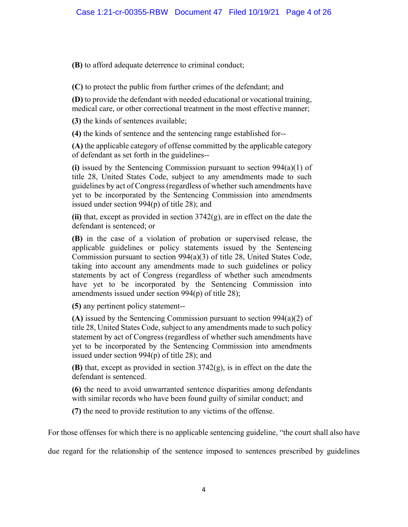**(B)** to afford adequate deterrence to criminal conduct;

**(C)** to protect the public from further crimes of the defendant; and

**(D)** to provide the defendant with needed educational or vocational training, medical care, or other correctional treatment in the most effective manner;

**(3)** the kinds of sentences available;

**(4)** the kinds of sentence and the sentencing range established for--

**(A)** the applicable category of offense committed by the applicable category of defendant as set forth in the guidelines--

**(i)** issued by the Sentencing Commission pursuant to section 994(a)(1) of title 28, United States Code, subject to any amendments made to such guidelines by act of Congress (regardless of whether such amendments have yet to be incorporated by the Sentencing Commission into amendments issued under section 994(p) of title 28); and

**(ii)** that, except as provided in section 3742(g), are in effect on the date the defendant is sentenced; or

**(B)** in the case of a violation of probation or supervised release, the applicable guidelines or policy statements issued by the Sentencing Commission pursuant to section 994(a)(3) of title 28, United States Code, taking into account any amendments made to such guidelines or policy statements by act of Congress (regardless of whether such amendments have yet to be incorporated by the Sentencing Commission into amendments issued under section 994(p) of title 28);

**(5)** any pertinent policy statement--

**(A)** issued by the Sentencing Commission pursuant to section 994(a)(2) of title 28, United States Code, subject to any amendments made to such policy statement by act of Congress (regardless of whether such amendments have yet to be incorporated by the Sentencing Commission into amendments issued under section 994(p) of title 28); and

**(B)** that, except as provided in section 3742(g), is in effect on the date the defendant is sentenced.

**(6)** the need to avoid unwarranted sentence disparities among defendants with similar records who have been found guilty of similar conduct; and

**(7)** the need to provide restitution to any victims of the offense.

For those offenses for which there is no applicable sentencing guideline, "the court shall also have

due regard for the relationship of the sentence imposed to sentences prescribed by guidelines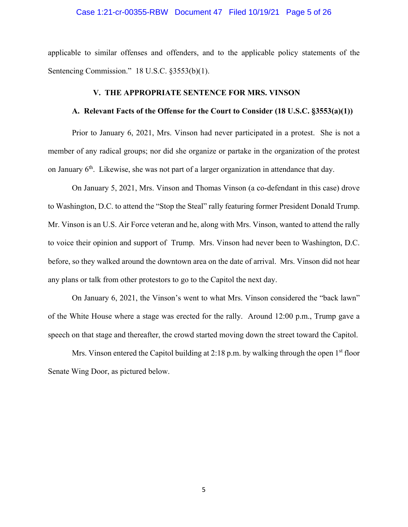#### Case 1:21-cr-00355-RBW Document 47 Filed 10/19/21 Page 5 of 26

applicable to similar offenses and offenders, and to the applicable policy statements of the Sentencing Commission." 18 U.S.C. §3553(b)(1).

## **V. THE APPROPRIATE SENTENCE FOR MRS. VINSON**

## **A. Relevant Facts of the Offense for the Court to Consider (18 U.S.C. §3553(a)(1))**

 Prior to January 6, 2021, Mrs. Vinson had never participated in a protest. She is not a member of any radical groups; nor did she organize or partake in the organization of the protest on January  $6<sup>th</sup>$ . Likewise, she was not part of a larger organization in attendance that day.

 On January 5, 2021, Mrs. Vinson and Thomas Vinson (a co-defendant in this case) drove to Washington, D.C. to attend the "Stop the Steal" rally featuring former President Donald Trump. Mr. Vinson is an U.S. Air Force veteran and he, along with Mrs. Vinson, wanted to attend the rally to voice their opinion and support of Trump. Mrs. Vinson had never been to Washington, D.C. before, so they walked around the downtown area on the date of arrival. Mrs. Vinson did not hear any plans or talk from other protestors to go to the Capitol the next day.

 On January 6, 2021, the Vinson's went to what Mrs. Vinson considered the "back lawn" of the White House where a stage was erected for the rally. Around 12:00 p.m., Trump gave a speech on that stage and thereafter, the crowd started moving down the street toward the Capitol.

Mrs. Vinson entered the Capitol building at 2:18 p.m. by walking through the open  $1<sup>st</sup>$  floor Senate Wing Door, as pictured below.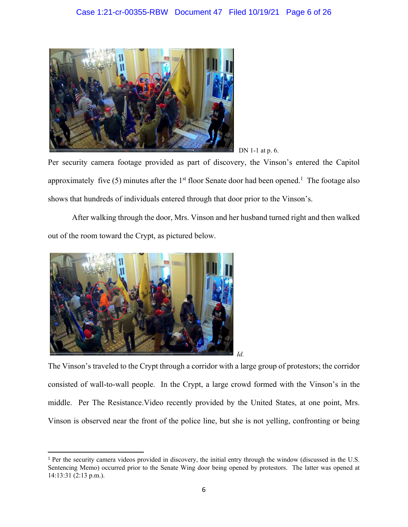

DN 1-1 at p. 6.

Per security camera footage provided as part of discovery, the Vinson's entered the Capitol approximately five (5) minutes after the  $1<sup>st</sup>$  floor Senate door had been opened.<sup>1</sup> The footage also shows that hundreds of individuals entered through that door prior to the Vinson's.

 After walking through the door, Mrs. Vinson and her husband turned right and then walked out of the room toward the Crypt, as pictured below.



The Vinson's traveled to the Crypt through a corridor with a large group of protestors; the corridor consisted of wall-to-wall people. In the Crypt, a large crowd formed with the Vinson's in the middle. Per The Resistance.Video recently provided by the United States, at one point, Mrs. Vinson is observed near the front of the police line, but she is not yelling, confronting or being

<sup>1</sup> Per the security camera videos provided in discovery, the initial entry through the window (discussed in the U.S. Sentencing Memo) occurred prior to the Senate Wing door being opened by protestors. The latter was opened at 14:13:31 (2:13 p.m.).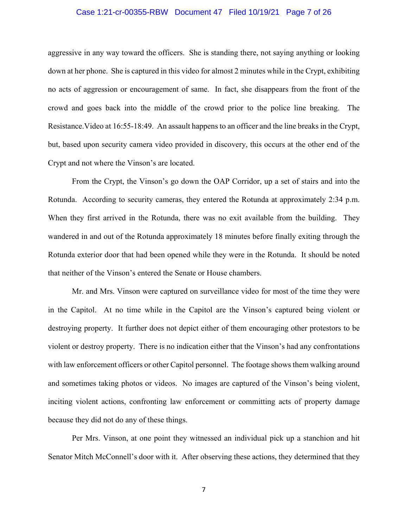## Case 1:21-cr-00355-RBW Document 47 Filed 10/19/21 Page 7 of 26

aggressive in any way toward the officers. She is standing there, not saying anything or looking down at her phone. She is captured in this video for almost 2 minutes while in the Crypt, exhibiting no acts of aggression or encouragement of same. In fact, she disappears from the front of the crowd and goes back into the middle of the crowd prior to the police line breaking. The Resistance.Video at 16:55-18:49. An assault happens to an officer and the line breaks in the Crypt, but, based upon security camera video provided in discovery, this occurs at the other end of the Crypt and not where the Vinson's are located.

 From the Crypt, the Vinson's go down the OAP Corridor, up a set of stairs and into the Rotunda. According to security cameras, they entered the Rotunda at approximately 2:34 p.m. When they first arrived in the Rotunda, there was no exit available from the building. They wandered in and out of the Rotunda approximately 18 minutes before finally exiting through the Rotunda exterior door that had been opened while they were in the Rotunda. It should be noted that neither of the Vinson's entered the Senate or House chambers.

 Mr. and Mrs. Vinson were captured on surveillance video for most of the time they were in the Capitol. At no time while in the Capitol are the Vinson's captured being violent or destroying property. It further does not depict either of them encouraging other protestors to be violent or destroy property. There is no indication either that the Vinson's had any confrontations with law enforcement officers or other Capitol personnel. The footage shows them walking around and sometimes taking photos or videos. No images are captured of the Vinson's being violent, inciting violent actions, confronting law enforcement or committing acts of property damage because they did not do any of these things.

 Per Mrs. Vinson, at one point they witnessed an individual pick up a stanchion and hit Senator Mitch McConnell's door with it. After observing these actions, they determined that they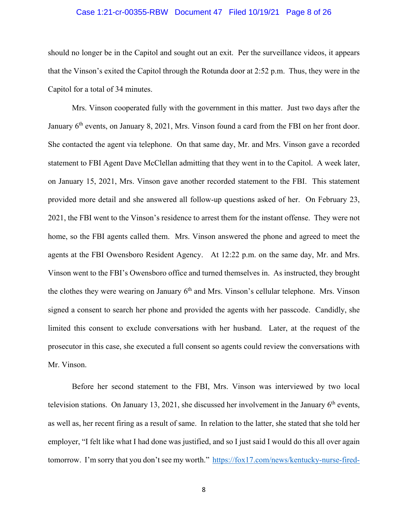## Case 1:21-cr-00355-RBW Document 47 Filed 10/19/21 Page 8 of 26

should no longer be in the Capitol and sought out an exit. Per the surveillance videos, it appears that the Vinson's exited the Capitol through the Rotunda door at 2:52 p.m. Thus, they were in the Capitol for a total of 34 minutes.

 Mrs. Vinson cooperated fully with the government in this matter. Just two days after the January 6<sup>th</sup> events, on January 8, 2021, Mrs. Vinson found a card from the FBI on her front door. She contacted the agent via telephone. On that same day, Mr. and Mrs. Vinson gave a recorded statement to FBI Agent Dave McClellan admitting that they went in to the Capitol. A week later, on January 15, 2021, Mrs. Vinson gave another recorded statement to the FBI. This statement provided more detail and she answered all follow-up questions asked of her. On February 23, 2021, the FBI went to the Vinson's residence to arrest them for the instant offense. They were not home, so the FBI agents called them. Mrs. Vinson answered the phone and agreed to meet the agents at the FBI Owensboro Resident Agency. At 12:22 p.m. on the same day, Mr. and Mrs. Vinson went to the FBI's Owensboro office and turned themselves in. As instructed, they brought the clothes they were wearing on January  $6<sup>th</sup>$  and Mrs. Vinson's cellular telephone. Mrs. Vinson signed a consent to search her phone and provided the agents with her passcode. Candidly, she limited this consent to exclude conversations with her husband. Later, at the request of the prosecutor in this case, she executed a full consent so agents could review the conversations with Mr. Vinson.

 Before her second statement to the FBI, Mrs. Vinson was interviewed by two local television stations. On January 13, 2021, she discussed her involvement in the January  $6<sup>th</sup>$  events, as well as, her recent firing as a result of same. In relation to the latter, she stated that she told her employer, "I felt like what I had done was justified, and so I just said I would do this all over again tomorrow. I'm sorry that you don't see my worth." https://fox17.com/news/kentucky-nurse-fired-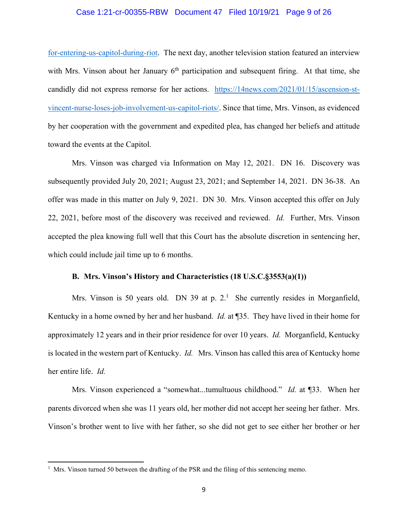### Case 1:21-cr-00355-RBW Document 47 Filed 10/19/21 Page 9 of 26

for-entering-us-capitol-during-riot. The next day, another television station featured an interview with Mrs. Vinson about her January  $6<sup>th</sup>$  participation and subsequent firing. At that time, she candidly did not express remorse for her actions. https://14news.com/2021/01/15/ascension-stvincent-nurse-loses-job-involvement-us-capitol-riots/. Since that time, Mrs. Vinson, as evidenced by her cooperation with the government and expedited plea, has changed her beliefs and attitude toward the events at the Capitol.

 Mrs. Vinson was charged via Information on May 12, 2021. DN 16. Discovery was subsequently provided July 20, 2021; August 23, 2021; and September 14, 2021. DN 36-38. An offer was made in this matter on July 9, 2021. DN 30. Mrs. Vinson accepted this offer on July 22, 2021, before most of the discovery was received and reviewed. *Id.* Further, Mrs. Vinson accepted the plea knowing full well that this Court has the absolute discretion in sentencing her, which could include jail time up to 6 months.

## **B. Mrs. Vinson's History and Characteristics (18 U.S.C.§3553(a)(1))**

Mrs. Vinson is 50 years old. DN 39 at p.  $2<sup>1</sup>$  She currently resides in Morganfield, Kentucky in a home owned by her and her husband. *Id.* at ¶35. They have lived in their home for approximately 12 years and in their prior residence for over 10 years. *Id.* Morganfield, Kentucky is located in the western part of Kentucky. *Id.* Mrs. Vinson has called this area of Kentucky home her entire life. *Id.* 

 Mrs. Vinson experienced a "somewhat...tumultuous childhood." *Id.* at ¶33. When her parents divorced when she was 11 years old, her mother did not accept her seeing her father. Mrs. Vinson's brother went to live with her father, so she did not get to see either her brother or her

<sup>&</sup>lt;sup>1</sup> Mrs. Vinson turned 50 between the drafting of the PSR and the filing of this sentencing memo.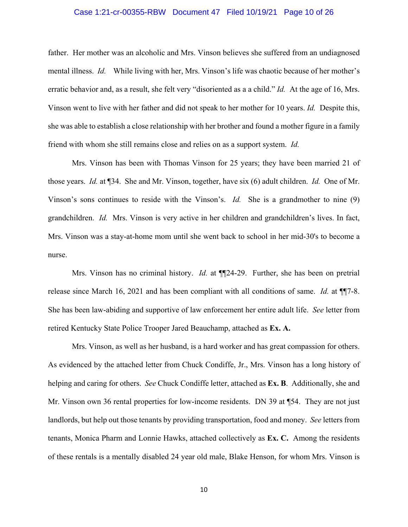## Case 1:21-cr-00355-RBW Document 47 Filed 10/19/21 Page 10 of 26

father. Her mother was an alcoholic and Mrs. Vinson believes she suffered from an undiagnosed mental illness. *Id.* While living with her, Mrs. Vinson's life was chaotic because of her mother's erratic behavior and, as a result, she felt very "disoriented as a a child." *Id.* At the age of 16, Mrs. Vinson went to live with her father and did not speak to her mother for 10 years. *Id.* Despite this, she was able to establish a close relationship with her brother and found a mother figure in a family friend with whom she still remains close and relies on as a support system. *Id.*

 Mrs. Vinson has been with Thomas Vinson for 25 years; they have been married 21 of those years. *Id.* at ¶34. She and Mr. Vinson, together, have six (6) adult children. *Id.* One of Mr. Vinson's sons continues to reside with the Vinson's. *Id.* She is a grandmother to nine (9) grandchildren. *Id.* Mrs. Vinson is very active in her children and grandchildren's lives. In fact, Mrs. Vinson was a stay-at-home mom until she went back to school in her mid-30's to become a nurse.

Mrs. Vinson has no criminal history. *Id.* at **[104-29.** Further, she has been on pretrial release since March 16, 2021 and has been compliant with all conditions of same. *Id.* at ¶¶7-8. She has been law-abiding and supportive of law enforcement her entire adult life. *See* letter from retired Kentucky State Police Trooper Jared Beauchamp, attached as **Ex. A.**

 Mrs. Vinson, as well as her husband, is a hard worker and has great compassion for others. As evidenced by the attached letter from Chuck Condiffe, Jr., Mrs. Vinson has a long history of helping and caring for others. *See* Chuck Condiffe letter, attached as **Ex. B**. Additionally, she and Mr. Vinson own 36 rental properties for low-income residents. DN 39 at ¶54. They are not just landlords, but help out those tenants by providing transportation, food and money. *See* letters from tenants, Monica Pharm and Lonnie Hawks, attached collectively as **Ex. C.** Among the residents of these rentals is a mentally disabled 24 year old male, Blake Henson, for whom Mrs. Vinson is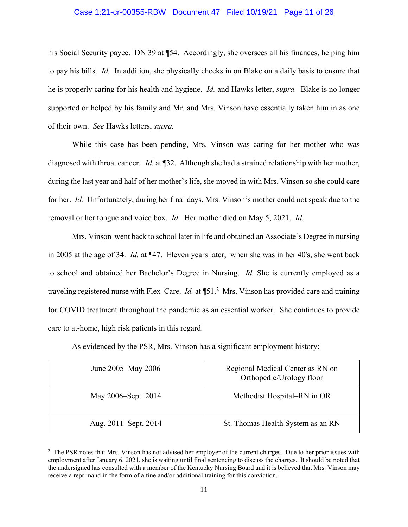## Case 1:21-cr-00355-RBW Document 47 Filed 10/19/21 Page 11 of 26

his Social Security payee. DN 39 at ¶54. Accordingly, she oversees all his finances, helping him to pay his bills. *Id.* In addition, she physically checks in on Blake on a daily basis to ensure that he is properly caring for his health and hygiene. *Id.* and Hawks letter, *supra.* Blake is no longer supported or helped by his family and Mr. and Mrs. Vinson have essentially taken him in as one of their own. *See* Hawks letters, *supra.* 

 While this case has been pending, Mrs. Vinson was caring for her mother who was diagnosed with throat cancer. *Id.* at ¶32. Although she had a strained relationship with her mother, during the last year and half of her mother's life, she moved in with Mrs. Vinson so she could care for her. *Id.* Unfortunately, during her final days, Mrs. Vinson's mother could not speak due to the removal or her tongue and voice box. *Id.* Her mother died on May 5, 2021. *Id.*

 Mrs. Vinson went back to school later in life and obtained an Associate's Degree in nursing in 2005 at the age of 34. *Id.* at ¶47. Eleven years later, when she was in her 40's, she went back to school and obtained her Bachelor's Degree in Nursing. *Id.* She is currently employed as a traveling registered nurse with Flex Care. *Id.* at ¶51.2 Mrs. Vinson has provided care and training for COVID treatment throughout the pandemic as an essential worker. She continues to provide care to at-home, high risk patients in this regard.

As evidenced by the PSR, Mrs. Vinson has a significant employment history:

| June 2005–May 2006   | Regional Medical Center as RN on<br>Orthopedic/Urology floor |
|----------------------|--------------------------------------------------------------|
| May 2006–Sept. 2014  | Methodist Hospital–RN in OR                                  |
| Aug. 2011–Sept. 2014 | St. Thomas Health System as an RN                            |

<sup>&</sup>lt;sup>2</sup> The PSR notes that Mrs. Vinson has not advised her employer of the current charges. Due to her prior issues with employment after January 6, 2021, she is waiting until final sentencing to discuss the charges. It should be noted that the undersigned has consulted with a member of the Kentucky Nursing Board and it is believed that Mrs. Vinson may receive a reprimand in the form of a fine and/or additional training for this conviction.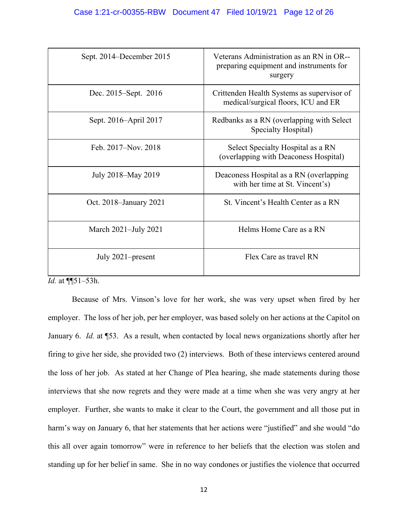| Sept. 2014–December 2015 | Veterans Administration as an RN in OR--<br>preparing equipment and instruments for<br>surgery |
|--------------------------|------------------------------------------------------------------------------------------------|
| Dec. 2015–Sept. 2016     | Crittenden Health Systems as supervisor of<br>medical/surgical floors, ICU and ER              |
| Sept. 2016–April 2017    | Redbanks as a RN (overlapping with Select<br>Specialty Hospital)                               |
| Feb. 2017–Nov. 2018      | Select Specialty Hospital as a RN<br>(overlapping with Deaconess Hospital)                     |
| July 2018–May 2019       | Deaconess Hospital as a RN (overlapping<br>with her time at St. Vincent's)                     |
| Oct. 2018–January 2021   | St. Vincent's Health Center as a RN                                                            |
| March 2021-July 2021     | Helms Home Care as a RN                                                                        |
| July 2021–present        | Flex Care as travel RN                                                                         |

*Id.* at ¶¶51–53h.

 Because of Mrs. Vinson's love for her work, she was very upset when fired by her employer. The loss of her job, per her employer, was based solely on her actions at the Capitol on January 6. *Id.* at ¶53. As a result, when contacted by local news organizations shortly after her firing to give her side, she provided two (2) interviews. Both of these interviews centered around the loss of her job. As stated at her Change of Plea hearing, she made statements during those interviews that she now regrets and they were made at a time when she was very angry at her employer. Further, she wants to make it clear to the Court, the government and all those put in harm's way on January 6, that her statements that her actions were "justified" and she would "do this all over again tomorrow" were in reference to her beliefs that the election was stolen and standing up for her belief in same. She in no way condones or justifies the violence that occurred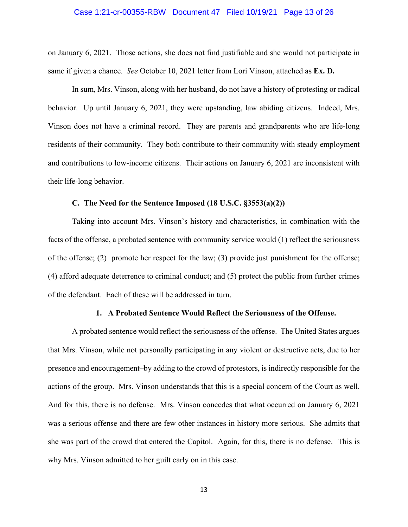#### Case 1:21-cr-00355-RBW Document 47 Filed 10/19/21 Page 13 of 26

on January 6, 2021. Those actions, she does not find justifiable and she would not participate in same if given a chance. *See* October 10, 2021 letter from Lori Vinson, attached as **Ex. D.** 

 In sum, Mrs. Vinson, along with her husband, do not have a history of protesting or radical behavior. Up until January 6, 2021, they were upstanding, law abiding citizens. Indeed, Mrs. Vinson does not have a criminal record. They are parents and grandparents who are life-long residents of their community. They both contribute to their community with steady employment and contributions to low-income citizens. Their actions on January 6, 2021 are inconsistent with their life-long behavior.

## **C. The Need for the Sentence Imposed (18 U.S.C. §3553(a)(2))**

 Taking into account Mrs. Vinson's history and characteristics, in combination with the facts of the offense, a probated sentence with community service would (1) reflect the seriousness of the offense; (2) promote her respect for the law; (3) provide just punishment for the offense; (4) afford adequate deterrence to criminal conduct; and (5) protect the public from further crimes of the defendant. Each of these will be addressed in turn.

## **1. A Probated Sentence Would Reflect the Seriousness of the Offense.**

 A probated sentence would reflect the seriousness of the offense. The United States argues that Mrs. Vinson, while not personally participating in any violent or destructive acts, due to her presence and encouragement–by adding to the crowd of protestors, is indirectly responsible for the actions of the group. Mrs. Vinson understands that this is a special concern of the Court as well. And for this, there is no defense. Mrs. Vinson concedes that what occurred on January 6, 2021 was a serious offense and there are few other instances in history more serious. She admits that she was part of the crowd that entered the Capitol. Again, for this, there is no defense. This is why Mrs. Vinson admitted to her guilt early on in this case.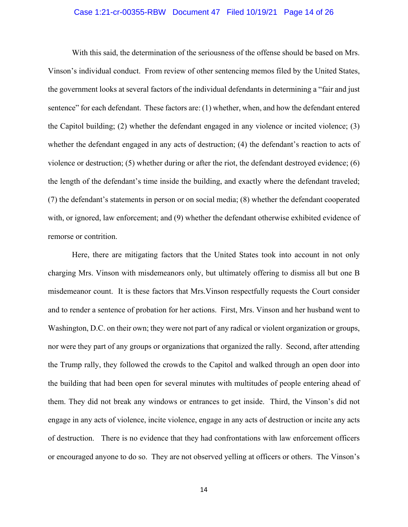## Case 1:21-cr-00355-RBW Document 47 Filed 10/19/21 Page 14 of 26

 With this said, the determination of the seriousness of the offense should be based on Mrs. Vinson's individual conduct. From review of other sentencing memos filed by the United States, the government looks at several factors of the individual defendants in determining a "fair and just sentence" for each defendant. These factors are: (1) whether, when, and how the defendant entered the Capitol building;  $(2)$  whether the defendant engaged in any violence or incited violence;  $(3)$ whether the defendant engaged in any acts of destruction; (4) the defendant's reaction to acts of violence or destruction; (5) whether during or after the riot, the defendant destroyed evidence; (6) the length of the defendant's time inside the building, and exactly where the defendant traveled; (7) the defendant's statements in person or on social media; (8) whether the defendant cooperated with, or ignored, law enforcement; and (9) whether the defendant otherwise exhibited evidence of remorse or contrition.

 Here, there are mitigating factors that the United States took into account in not only charging Mrs. Vinson with misdemeanors only, but ultimately offering to dismiss all but one B misdemeanor count. It is these factors that Mrs.Vinson respectfully requests the Court consider and to render a sentence of probation for her actions. First, Mrs. Vinson and her husband went to Washington, D.C. on their own; they were not part of any radical or violent organization or groups, nor were they part of any groups or organizations that organized the rally. Second, after attending the Trump rally, they followed the crowds to the Capitol and walked through an open door into the building that had been open for several minutes with multitudes of people entering ahead of them. They did not break any windows or entrances to get inside. Third, the Vinson's did not engage in any acts of violence, incite violence, engage in any acts of destruction or incite any acts of destruction. There is no evidence that they had confrontations with law enforcement officers or encouraged anyone to do so. They are not observed yelling at officers or others. The Vinson's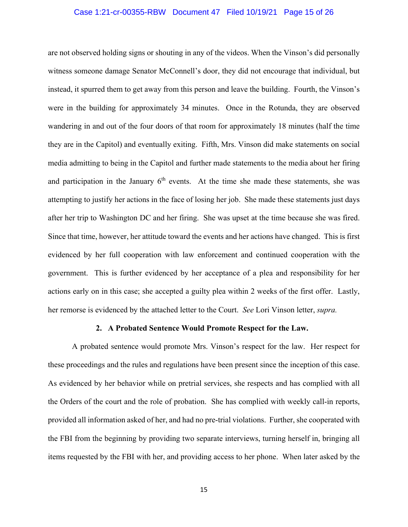## Case 1:21-cr-00355-RBW Document 47 Filed 10/19/21 Page 15 of 26

are not observed holding signs or shouting in any of the videos. When the Vinson's did personally witness someone damage Senator McConnell's door, they did not encourage that individual, but instead, it spurred them to get away from this person and leave the building. Fourth, the Vinson's were in the building for approximately 34 minutes. Once in the Rotunda, they are observed wandering in and out of the four doors of that room for approximately 18 minutes (half the time they are in the Capitol) and eventually exiting. Fifth, Mrs. Vinson did make statements on social media admitting to being in the Capitol and further made statements to the media about her firing and participation in the January  $6<sup>th</sup>$  events. At the time she made these statements, she was attempting to justify her actions in the face of losing her job. She made these statements just days after her trip to Washington DC and her firing. She was upset at the time because she was fired. Since that time, however, her attitude toward the events and her actions have changed. This is first evidenced by her full cooperation with law enforcement and continued cooperation with the government. This is further evidenced by her acceptance of a plea and responsibility for her actions early on in this case; she accepted a guilty plea within 2 weeks of the first offer. Lastly, her remorse is evidenced by the attached letter to the Court. *See* Lori Vinson letter, *supra.*

## **2. A Probated Sentence Would Promote Respect for the Law.**

 A probated sentence would promote Mrs. Vinson's respect for the law. Her respect for these proceedings and the rules and regulations have been present since the inception of this case. As evidenced by her behavior while on pretrial services, she respects and has complied with all the Orders of the court and the role of probation. She has complied with weekly call-in reports, provided all information asked of her, and had no pre-trial violations. Further, she cooperated with the FBI from the beginning by providing two separate interviews, turning herself in, bringing all items requested by the FBI with her, and providing access to her phone. When later asked by the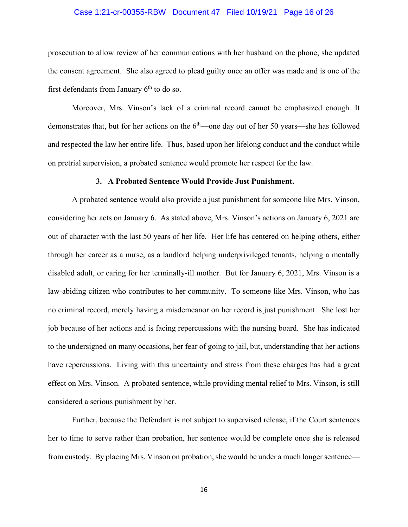## Case 1:21-cr-00355-RBW Document 47 Filed 10/19/21 Page 16 of 26

prosecution to allow review of her communications with her husband on the phone, she updated the consent agreement. She also agreed to plead guilty once an offer was made and is one of the first defendants from January  $6<sup>th</sup>$  to do so.

 Moreover, Mrs. Vinson's lack of a criminal record cannot be emphasized enough. It demonstrates that, but for her actions on the  $6<sup>th</sup>$ —one day out of her 50 years—she has followed and respected the law her entire life. Thus, based upon her lifelong conduct and the conduct while on pretrial supervision, a probated sentence would promote her respect for the law.

#### **3. A Probated Sentence Would Provide Just Punishment.**

 A probated sentence would also provide a just punishment for someone like Mrs. Vinson, considering her acts on January 6. As stated above, Mrs. Vinson's actions on January 6, 2021 are out of character with the last 50 years of her life. Her life has centered on helping others, either through her career as a nurse, as a landlord helping underprivileged tenants, helping a mentally disabled adult, or caring for her terminally-ill mother. But for January 6, 2021, Mrs. Vinson is a law-abiding citizen who contributes to her community. To someone like Mrs. Vinson, who has no criminal record, merely having a misdemeanor on her record is just punishment. She lost her job because of her actions and is facing repercussions with the nursing board. She has indicated to the undersigned on many occasions, her fear of going to jail, but, understanding that her actions have repercussions. Living with this uncertainty and stress from these charges has had a great effect on Mrs. Vinson. A probated sentence, while providing mental relief to Mrs. Vinson, is still considered a serious punishment by her.

 Further, because the Defendant is not subject to supervised release, if the Court sentences her to time to serve rather than probation, her sentence would be complete once she is released from custody. By placing Mrs. Vinson on probation, she would be under a much longer sentence—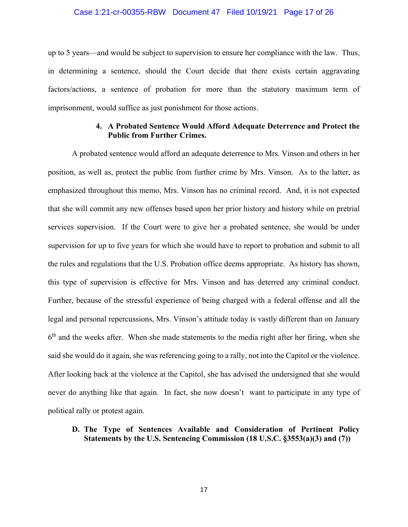## Case 1:21-cr-00355-RBW Document 47 Filed 10/19/21 Page 17 of 26

up to 5 years—and would be subject to supervision to ensure her compliance with the law. Thus, in determining a sentence, should the Court decide that there exists certain aggravating factors/actions, a sentence of probation for more than the statutory maximum term of imprisonment, would suffice as just punishment for those actions.

## **4. A Probated Sentence Would Afford Adequate Deterrence and Protect the Public from Further Crimes.**

 A probated sentence would afford an adequate deterrence to Mrs. Vinson and others in her position, as well as, protect the public from further crime by Mrs. Vinson. As to the latter, as emphasized throughout this memo, Mrs. Vinson has no criminal record. And, it is not expected that she will commit any new offenses based upon her prior history and history while on pretrial services supervision. If the Court were to give her a probated sentence, she would be under supervision for up to five years for which she would have to report to probation and submit to all the rules and regulations that the U.S. Probation office deems appropriate. As history has shown, this type of supervision is effective for Mrs. Vinson and has deterred any criminal conduct. Further, because of the stressful experience of being charged with a federal offense and all the legal and personal repercussions, Mrs. Vinson's attitude today is vastly different than on January  $6<sup>th</sup>$  and the weeks after. When she made statements to the media right after her firing, when she said she would do it again, she was referencing going to a rally, not into the Capitol or the violence. After looking back at the violence at the Capitol, she has advised the undersigned that she would never do anything like that again. In fact, she now doesn't want to participate in any type of political rally or protest again.

# **D. The Type of Sentences Available and Consideration of Pertinent Policy Statements by the U.S. Sentencing Commission (18 U.S.C. §3553(a)(3) and (7))**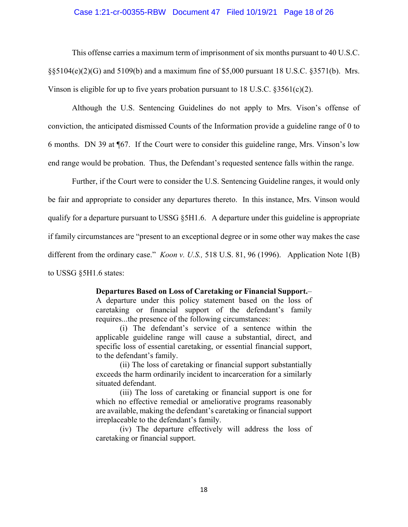## Case 1:21-cr-00355-RBW Document 47 Filed 10/19/21 Page 18 of 26

 This offense carries a maximum term of imprisonment of six months pursuant to 40 U.S.C.  $\S$ §5104(e)(2)(G) and 5109(b) and a maximum fine of \$5,000 pursuant 18 U.S.C. §3571(b). Mrs. Vinson is eligible for up to five years probation pursuant to 18 U.S.C.  $\S 3561(c)(2)$ .

 Although the U.S. Sentencing Guidelines do not apply to Mrs. Vison's offense of conviction, the anticipated dismissed Counts of the Information provide a guideline range of 0 to 6 months. DN 39 at ¶67. If the Court were to consider this guideline range, Mrs. Vinson's low end range would be probation. Thus, the Defendant's requested sentence falls within the range.

 Further, if the Court were to consider the U.S. Sentencing Guideline ranges, it would only be fair and appropriate to consider any departures thereto. In this instance, Mrs. Vinson would qualify for a departure pursuant to USSG §5H1.6. A departure under this guideline is appropriate if family circumstances are "present to an exceptional degree or in some other way makes the case different from the ordinary case." *Koon v. U.S.,* 518 U.S. 81, 96 (1996). Application Note 1(B) to USSG §5H1.6 states:

#### **Departures Based on Loss of Caretaking or Financial Support.**–

A departure under this policy statement based on the loss of caretaking or financial support of the defendant's family requires...the presence of the following circumstances:

 (i) The defendant's service of a sentence within the applicable guideline range will cause a substantial, direct, and specific loss of essential caretaking, or essential financial support, to the defendant's family.

 (ii) The loss of caretaking or financial support substantially exceeds the harm ordinarily incident to incarceration for a similarly situated defendant.

 (iii) The loss of caretaking or financial support is one for which no effective remedial or ameliorative programs reasonably are available, making the defendant's caretaking or financial support irreplaceable to the defendant's family.

 (iv) The departure effectively will address the loss of caretaking or financial support.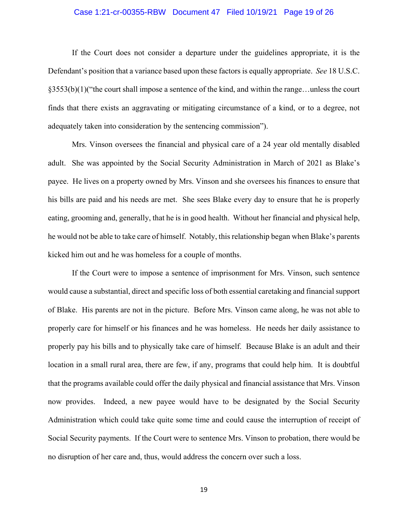## Case 1:21-cr-00355-RBW Document 47 Filed 10/19/21 Page 19 of 26

 If the Court does not consider a departure under the guidelines appropriate, it is the Defendant's position that a variance based upon these factors is equally appropriate. *See* 18 U.S.C. §3553(b)(1)("the court shall impose a sentence of the kind, and within the range…unless the court finds that there exists an aggravating or mitigating circumstance of a kind, or to a degree, not adequately taken into consideration by the sentencing commission").

 Mrs. Vinson oversees the financial and physical care of a 24 year old mentally disabled adult. She was appointed by the Social Security Administration in March of 2021 as Blake's payee. He lives on a property owned by Mrs. Vinson and she oversees his finances to ensure that his bills are paid and his needs are met. She sees Blake every day to ensure that he is properly eating, grooming and, generally, that he is in good health. Without her financial and physical help, he would not be able to take care of himself. Notably, this relationship began when Blake's parents kicked him out and he was homeless for a couple of months.

 If the Court were to impose a sentence of imprisonment for Mrs. Vinson, such sentence would cause a substantial, direct and specific loss of both essential caretaking and financial support of Blake. His parents are not in the picture. Before Mrs. Vinson came along, he was not able to properly care for himself or his finances and he was homeless. He needs her daily assistance to properly pay his bills and to physically take care of himself. Because Blake is an adult and their location in a small rural area, there are few, if any, programs that could help him. It is doubtful that the programs available could offer the daily physical and financial assistance that Mrs. Vinson now provides. Indeed, a new payee would have to be designated by the Social Security Administration which could take quite some time and could cause the interruption of receipt of Social Security payments. If the Court were to sentence Mrs. Vinson to probation, there would be no disruption of her care and, thus, would address the concern over such a loss.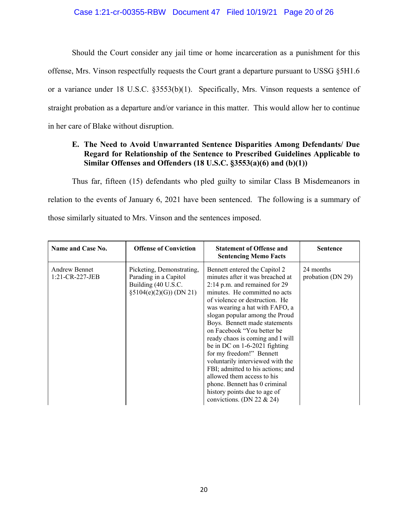## Case 1:21-cr-00355-RBW Document 47 Filed 10/19/21 Page 20 of 26

 Should the Court consider any jail time or home incarceration as a punishment for this offense, Mrs. Vinson respectfully requests the Court grant a departure pursuant to USSG §5H1.6 or a variance under 18 U.S.C. §3553(b)(1). Specifically, Mrs. Vinson requests a sentence of straight probation as a departure and/or variance in this matter. This would allow her to continue in her care of Blake without disruption.

# **E. The Need to Avoid Unwarranted Sentence Disparities Among Defendants/ Due Regard for Relationship of the Sentence to Prescribed Guidelines Applicable to Similar Offenses and Offenders (18 U.S.C. §3553(a)(6) and (b)(1))**

Thus far, fifteen (15) defendants who pled guilty to similar Class B Misdemeanors in relation to the events of January 6, 2021 have been sentenced. The following is a summary of those similarly situated to Mrs. Vinson and the sentences imposed.

| Name and Case No.                          | <b>Offense of Conviction</b>                                                                          | <b>Statement of Offense and</b><br><b>Sentencing Memo Facts</b>                                                                                                                                                                                                                                                                                                                                                                                                                                                                                                                                                  | <b>Sentence</b>                |
|--------------------------------------------|-------------------------------------------------------------------------------------------------------|------------------------------------------------------------------------------------------------------------------------------------------------------------------------------------------------------------------------------------------------------------------------------------------------------------------------------------------------------------------------------------------------------------------------------------------------------------------------------------------------------------------------------------------------------------------------------------------------------------------|--------------------------------|
| <b>Andrew Bennet</b><br>$1:21$ -CR-227-JEB | Picketing, Demonstrating,<br>Parading in a Capitol<br>Building (40 U.S.C.<br>$§5104(e)(2)(G)$ (DN 21) | Bennett entered the Capitol 2<br>minutes after it was breached at<br>2:14 p.m. and remained for 29<br>minutes. He committed no acts<br>of violence or destruction. He<br>was wearing a hat with FAFO, a<br>slogan popular among the Proud<br>Boys. Bennett made statements<br>on Facebook "You better be<br>ready chaos is coming and I will<br>be in DC on $1-6-2021$ fighting<br>for my freedom!" Bennett<br>voluntarily interviewed with the<br>FBI; admitted to his actions; and<br>allowed them access to his<br>phone. Bennett has 0 criminal<br>history points due to age of<br>convictions. (DN 22 & 24) | 24 months<br>probation (DN 29) |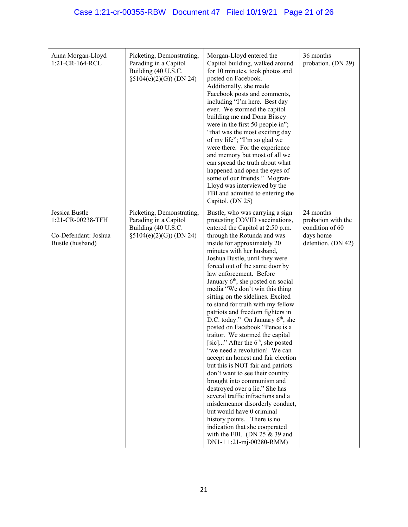| Anna Morgan-Lloyd<br>1:21-CR-164-RCL                                            | Picketing, Demonstrating,<br>Parading in a Capitol<br>Building (40 U.S.C.<br>§5104(e)(2)(G)) (DN 24)   | Morgan-Lloyd entered the<br>Capitol building, walked around<br>for 10 minutes, took photos and<br>posted on Facebook.<br>Additionally, she made<br>Facebook posts and comments,<br>including "I'm here. Best day<br>ever. We stormed the capitol<br>building me and Dona Bissey<br>were in the first 50 people in";<br>"that was the most exciting day<br>of my life"; "I'm so glad we<br>were there. For the experience<br>and memory but most of all we<br>can spread the truth about what<br>happened and open the eyes of<br>some of our friends." Mogran-<br>Lloyd was interviewed by the<br>FBI and admitted to entering the<br>Capitol. (DN 25)                                                                                                                                                                                                                                                                                                                                                                                                                                                    | 36 months<br>probation. (DN 29)                                                       |
|---------------------------------------------------------------------------------|--------------------------------------------------------------------------------------------------------|-----------------------------------------------------------------------------------------------------------------------------------------------------------------------------------------------------------------------------------------------------------------------------------------------------------------------------------------------------------------------------------------------------------------------------------------------------------------------------------------------------------------------------------------------------------------------------------------------------------------------------------------------------------------------------------------------------------------------------------------------------------------------------------------------------------------------------------------------------------------------------------------------------------------------------------------------------------------------------------------------------------------------------------------------------------------------------------------------------------|---------------------------------------------------------------------------------------|
| Jessica Bustle<br>1:21-CR-00238-TFH<br>Co-Defendant: Joshua<br>Bustle (husband) | Picketing, Demonstrating,<br>Parading in a Capitol<br>Building (40 U.S.C.<br>$§5104(e)(2)(G))$ (DN 24) | Bustle, who was carrying a sign<br>protesting COVID vaccinations,<br>entered the Capitol at 2:50 p.m.<br>through the Rotunda and was<br>inside for approximately 20<br>minutes with her husband,<br>Joshua Bustle, until they were<br>forced out of the same door by<br>law enforcement. Before<br>January 6 <sup>th</sup> , she posted on social<br>media "We don't win this thing<br>sitting on the sidelines. Excited<br>to stand for truth with my fellow<br>patriots and freedom fighters in<br>D.C. today." On January $6th$ , she<br>posted on Facebook "Pence is a<br>traitor. We stormed the capital<br>[sic]" After the $6th$ , she posted<br>"we need a revolution! We can<br>accept an honest and fair election<br>but this is NOT fair and patriots<br>don't want to see their country<br>brought into communism and<br>destroyed over a lie." She has<br>several traffic infractions and a<br>misdemeanor disorderly conduct,<br>but would have 0 criminal<br>history points. There is no<br>indication that she cooperated<br>with the FBI. (DN $25 \& 39$ and<br>DN1-1 1:21-mj-00280-RMM) | 24 months<br>probation with the<br>condition of 60<br>days home<br>detention. (DN 42) |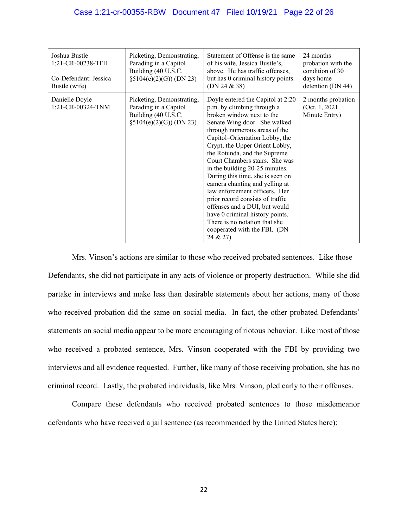| Joshua Bustle<br>1:21-CR-00238-TFH<br>Co-Defendant: Jessica<br>Bustle (wife) | Picketing, Demonstrating,<br>Parading in a Capitol<br>Building (40 U.S.C.<br>$\S5104(e)(2)(G)$ (DN 23) | Statement of Offense is the same<br>of his wife, Jessica Bustle's,<br>above. He has traffic offenses,<br>but has 0 criminal history points.<br>(DN 24 & 38)                                                                                                                                                                                                                                                                                                                                                                                                                                                                       | 24 months<br>probation with the<br>condition of 30<br>days home<br>detention (DN 44) |
|------------------------------------------------------------------------------|--------------------------------------------------------------------------------------------------------|-----------------------------------------------------------------------------------------------------------------------------------------------------------------------------------------------------------------------------------------------------------------------------------------------------------------------------------------------------------------------------------------------------------------------------------------------------------------------------------------------------------------------------------------------------------------------------------------------------------------------------------|--------------------------------------------------------------------------------------|
| Danielle Doyle<br>1:21-CR-00324-TNM                                          | Picketing, Demonstrating,<br>Parading in a Capitol<br>Building (40 U.S.C.<br>$\S5104(e)(2)(G)$ (DN 23) | Doyle entered the Capitol at 2:20<br>p.m. by climbing through a<br>broken window next to the<br>Senate Wing door. She walked<br>through numerous areas of the<br>Capitol-Orientation Lobby, the<br>Crypt, the Upper Orient Lobby,<br>the Rotunda, and the Supreme<br>Court Chambers stairs. She was<br>in the building 20-25 minutes.<br>During this time, she is seen on<br>camera chanting and yelling at<br>law enforcement officers. Her<br>prior record consists of traffic<br>offenses and a DUI, but would<br>have 0 criminal history points.<br>There is no notation that she<br>cooperated with the FBI. (DN<br>24 & 27) | 2 months probation<br>(Oct. $1, 2021$<br>Minute Entry)                               |

Mrs. Vinson's actions are similar to those who received probated sentences. Like those Defendants, she did not participate in any acts of violence or property destruction. While she did partake in interviews and make less than desirable statements about her actions, many of those who received probation did the same on social media. In fact, the other probated Defendants' statements on social media appear to be more encouraging of riotous behavior. Like most of those who received a probated sentence, Mrs. Vinson cooperated with the FBI by providing two interviews and all evidence requested. Further, like many of those receiving probation, she has no criminal record. Lastly, the probated individuals, like Mrs. Vinson, pled early to their offenses.

 Compare these defendants who received probated sentences to those misdemeanor defendants who have received a jail sentence (as recommended by the United States here):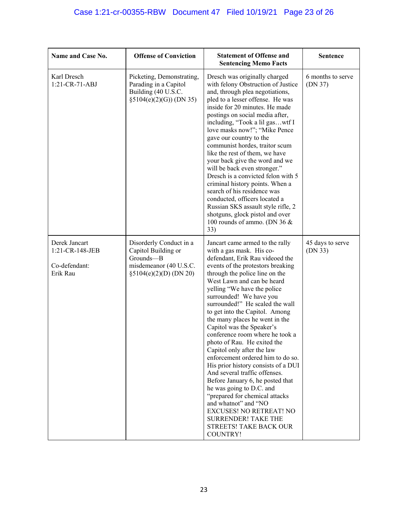| Name and Case No.                                             | <b>Offense of Conviction</b>                                                                                    | <b>Statement of Offense and</b><br><b>Sentencing Memo Facts</b>                                                                                                                                                                                                                                                                                                                                                                                                                                                                                                                                                                                                                                                                                                                                                                                | <b>Sentence</b>              |
|---------------------------------------------------------------|-----------------------------------------------------------------------------------------------------------------|------------------------------------------------------------------------------------------------------------------------------------------------------------------------------------------------------------------------------------------------------------------------------------------------------------------------------------------------------------------------------------------------------------------------------------------------------------------------------------------------------------------------------------------------------------------------------------------------------------------------------------------------------------------------------------------------------------------------------------------------------------------------------------------------------------------------------------------------|------------------------------|
| Karl Dresch<br>1:21-CR-71-ABJ                                 | Picketing, Demonstrating,<br>Parading in a Capitol<br>Building (40 U.S.C.<br>$\S5104(e)(2)(G)$ (DN 35)          | Dresch was originally charged<br>with felony Obstruction of Justice<br>and, through plea negotiations,<br>pled to a lesser offense. He was<br>inside for 20 minutes. He made<br>postings on social media after,<br>including, "Took a lil gaswtf I<br>love masks now!"; "Mike Pence<br>gave our country to the<br>communist hordes, traitor scum<br>like the rest of them, we have<br>your back give the word and we<br>will be back even stronger."<br>Dresch is a convicted felon with 5<br>criminal history points. When a<br>search of his residence was<br>conducted, officers located a<br>Russian SKS assault style rifle, 2<br>shotguns, glock pistol and over<br>100 rounds of ammo. (DN 36 &<br>33)                                                                                                                                  | 6 months to serve<br>(DN 37) |
| Derek Jancart<br>1:21-CR-148-JEB<br>Co-defendant:<br>Erik Rau | Disorderly Conduct in a<br>Capitol Building or<br>Grounds-B<br>misdemeanor (40 U.S.C.<br>§5104(e)(2)(D) (DN 20) | Jancart came armed to the rally<br>with a gas mask. His co-<br>defendant, Erik Rau videoed the<br>events of the protestors breaking<br>through the police line on the<br>West Lawn and can be heard<br>yelling "We have the police<br>surrounded! We have you<br>surrounded!" He scaled the wall<br>to get into the Capitol. Among<br>the many places he went in the<br>Capitol was the Speaker's<br>conference room where he took a<br>photo of Rau. He exited the<br>Capitol only after the law<br>enforcement ordered him to do so.<br>His prior history consists of a DUI<br>And several traffic offenses.<br>Before January 6, he posted that<br>he was going to D.C. and<br>"prepared for chemical attacks<br>and whatnot" and "NO<br><b>EXCUSES! NO RETREAT! NO</b><br><b>SURRENDER! TAKE THE</b><br>STREETS! TAKE BACK OUR<br>COUNTRY! | 45 days to serve<br>(DN 33)  |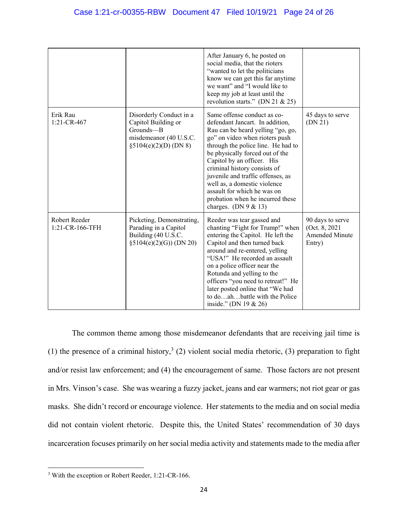|                                  |                                                                                                                | After January 6, he posted on<br>social media, that the rioters<br>"wanted to let the politicians<br>know we can get this far anytime<br>we want" and "I would like to<br>keep my job at least until the<br>revolution starts." (DN 21 & 25)                                                                                                                                                                                                    |                                                                |
|----------------------------------|----------------------------------------------------------------------------------------------------------------|-------------------------------------------------------------------------------------------------------------------------------------------------------------------------------------------------------------------------------------------------------------------------------------------------------------------------------------------------------------------------------------------------------------------------------------------------|----------------------------------------------------------------|
| Erik Rau<br>1:21-CR-467          | Disorderly Conduct in a<br>Capitol Building or<br>Grounds-B<br>misdemeanor (40 U.S.C.<br>§5104(e)(2)(D) (DN 8) | Same offense conduct as co-<br>defendant Jancart. In addition,<br>Rau can be heard yelling "go, go,<br>go" on video when rioters push<br>through the police line. He had to<br>be physically forced out of the<br>Capitol by an officer. His<br>criminal history consists of<br>juvenile and traffic offenses, as<br>well as, a domestic violence<br>assault for which he was on<br>probation when he incurred these<br>charges. (DN $9 & 13$ ) | 45 days to serve<br>(DN 21)                                    |
| Robert Reeder<br>1:21-CR-166-TFH | Picketing, Demonstrating,<br>Parading in a Capitol<br>Building (40 U.S.C.<br>$§5104(e)(2)(G))$ (DN 20)         | Reeder was tear gassed and<br>chanting "Fight for Trump!" when<br>entering the Capitol. He left the<br>Capitol and then turned back<br>around and re-entered, yelling<br>"USA!" He recorded an assault<br>on a police officer near the<br>Rotunda and yelling to the<br>officers "you need to retreat!" He<br>later posted online that "We had<br>to doahbattle with the Police<br>inside." (DN 19 & 26)                                        | 90 days to serve<br>(Oct. 8, 2021)<br>Amended Minute<br>Entry) |

 The common theme among those misdemeanor defendants that are receiving jail time is (1) the presence of a criminal history,<sup>3</sup> (2) violent social media rhetoric, (3) preparation to fight and/or resist law enforcement; and (4) the encouragement of same. Those factors are not present in Mrs. Vinson's case. She was wearing a fuzzy jacket, jeans and ear warmers; not riot gear or gas masks. She didn't record or encourage violence. Her statements to the media and on social media did not contain violent rhetoric. Despite this, the United States' recommendation of 30 days incarceration focuses primarily on her social media activity and statements made to the media after

 <sup>3</sup> With the exception or Robert Reeder, 1:21-CR-166.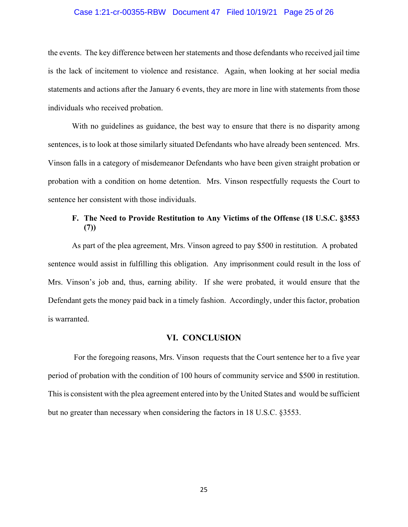## Case 1:21-cr-00355-RBW Document 47 Filed 10/19/21 Page 25 of 26

the events. The key difference between her statements and those defendants who received jail time is the lack of incitement to violence and resistance. Again, when looking at her social media statements and actions after the January 6 events, they are more in line with statements from those individuals who received probation.

 With no guidelines as guidance, the best way to ensure that there is no disparity among sentences, is to look at those similarly situated Defendants who have already been sentenced. Mrs. Vinson falls in a category of misdemeanor Defendants who have been given straight probation or probation with a condition on home detention. Mrs. Vinson respectfully requests the Court to sentence her consistent with those individuals.

# **F. The Need to Provide Restitution to Any Victims of the Offense (18 U.S.C. §3553 (7))**

As part of the plea agreement, Mrs. Vinson agreed to pay \$500 in restitution. A probated sentence would assist in fulfilling this obligation. Any imprisonment could result in the loss of Mrs. Vinson's job and, thus, earning ability. If she were probated, it would ensure that the Defendant gets the money paid back in a timely fashion. Accordingly, under this factor, probation is warranted.

## **VI. CONCLUSION**

 For the foregoing reasons, Mrs. Vinson requests that the Court sentence her to a five year period of probation with the condition of 100 hours of community service and \$500 in restitution. This is consistent with the plea agreement entered into by the United States and would be sufficient but no greater than necessary when considering the factors in 18 U.S.C. §3553.